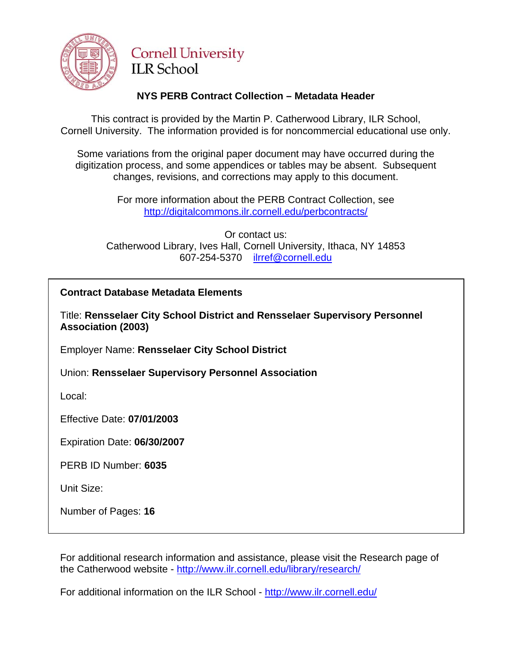

# **Cornell University ILR School**

# **NYS PERB Contract Collection – Metadata Header**

This contract is provided by the Martin P. Catherwood Library, ILR School, Cornell University. The information provided is for noncommercial educational use only.

Some variations from the original paper document may have occurred during the digitization process, and some appendices or tables may be absent. Subsequent changes, revisions, and corrections may apply to this document.

> For more information about the PERB Contract Collection, see http://digitalcommons.ilr.cornell.edu/perbcontracts/

Or contact us: Catherwood Library, Ives Hall, Cornell University, Ithaca, NY 14853 607-254-5370 ilrref@cornell.edu

# **Contract Database Metadata Elements**

Title: **Rensselaer City School District and Rensselaer Supervisory Personnel Association (2003)** 

Employer Name: **Rensselaer City School District**

Union: **Rensselaer Supervisory Personnel Association** 

Local:

Effective Date: **07/01/2003**

Expiration Date: **06/30/2007** 

PERB ID Number: **6035** 

Unit Size:

Number of Pages: **16**

For additional research information and assistance, please visit the Research page of the Catherwood website - http://www.ilr.cornell.edu/library/research/

For additional information on the ILR School - http://www.ilr.cornell.edu/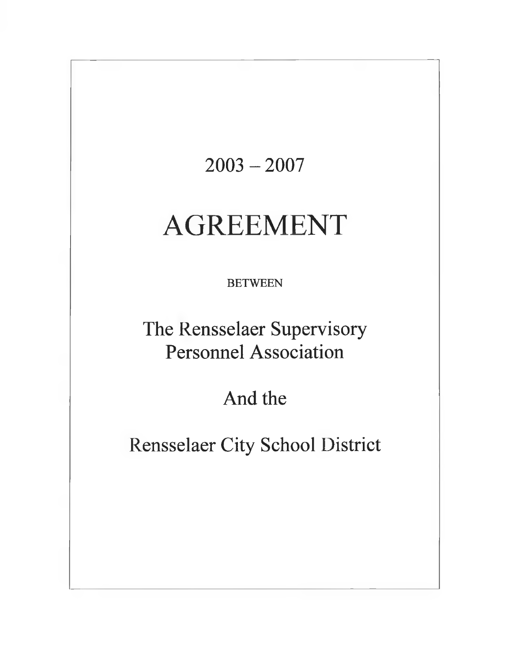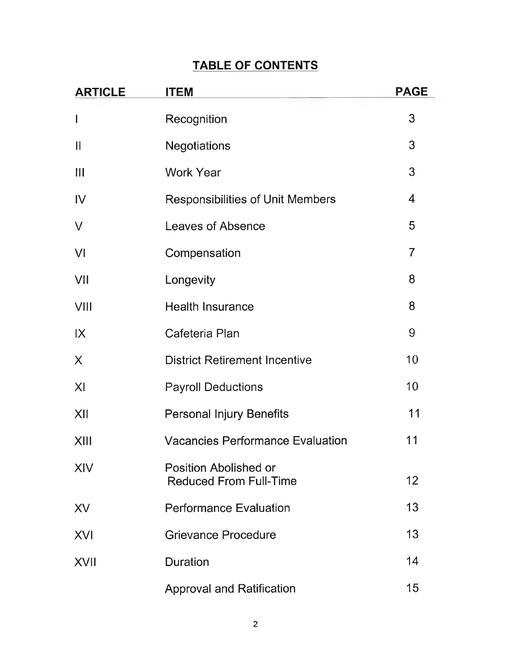# **TABLE OF CONTENTS**

| <b>ARTICLE</b>        | <b>ITEM</b>                                                   | <b>PAGE</b>    |
|-----------------------|---------------------------------------------------------------|----------------|
|                       | Recognition                                                   | 3              |
| $\mathbf{\mathsf{I}}$ | <b>Negotiations</b>                                           | 3              |
| Ш                     | <b>Work Year</b>                                              | 3              |
| $\mathsf{IV}$         | <b>Responsibilities of Unit Members</b>                       | $\overline{4}$ |
| $\vee$                | <b>Leaves of Absence</b>                                      | 5              |
| VI                    | Compensation                                                  | $\overline{7}$ |
| VII                   | Longevity                                                     | 8              |
| VIII                  | <b>Health Insurance</b>                                       | 8              |
| $\mathsf{IX}$         | Cafeteria Plan                                                | 9              |
| $\times$              | <b>District Retirement Incentive</b>                          | 10             |
| X <sub>l</sub>        | <b>Payroll Deductions</b>                                     | 10             |
| XII                   | <b>Personal Injury Benefits</b>                               | 11             |
| XIII                  | <b>Vacancies Performance Evaluation</b>                       | 11             |
| XIV                   | <b>Position Abolished or</b><br><b>Reduced From Full-Time</b> | 12             |
| XV                    | <b>Performance Evaluation</b>                                 | 13             |
| <b>XVI</b>            | <b>Grievance Procedure</b>                                    | 13             |
| <b>XVII</b>           | <b>Duration</b>                                               | 14             |
|                       | <b>Approval and Ratification</b>                              | 15             |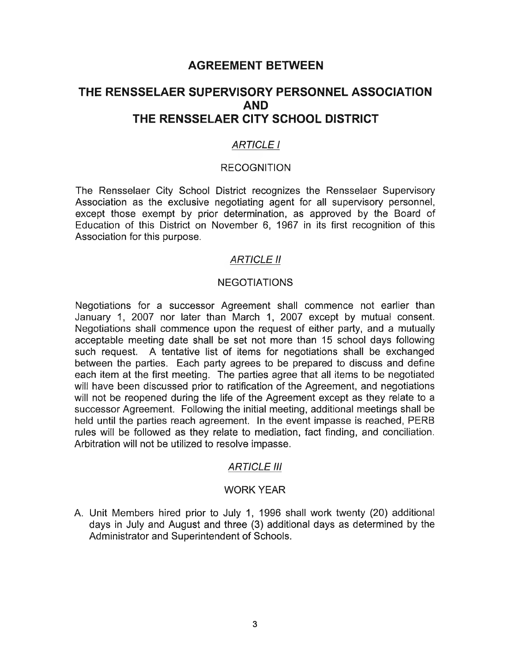# **AGREEMENT BETWEEN**

# **THE RENSSELAER SUPERVISORY PERSONNEL ASSOCIATION AND THE RENSSELAER CITY SCHOOL DISTRICT**

## *ARTICLE I*

#### **RECOGNITION**

The Rensselaer City School District recognizes the Rensselaer Supervisory Association as the exclusive negotiating agent for all supervisory personnel, except those exempt by prior determination, as approved by the Board of Education of this District on November 6, 1967 in its first recognition of this Association for this purpose.

#### *ARTICLE II*

#### **NEGOTIATIONS**

Negotiations for a successor Agreement shall commence not earlier than January 1, 2007 nor later than March 1, 2007 except by mutual consent. Negotiations shall commence upon the request of either party, and a mutually acceptable meeting date shall be set not more than 15 school days following such request. A tentative list of items for negotiations shall be exchanged between the parties. Each party agrees to be prepared to discuss and define each item at the first meeting. The parties agree that all items to be negotiated will have been discussed prior to ratification of the Agreement, and negotiations will not be reopened during the life of the Agreement except as they relate to a successor Agreement. Following the initial meeting, additional meetings shall be held until the parties reach agreement. In the event impasse is reached, PERB rules will be followed as they relate to mediation, fact finding, and conciliation. Arbitration will not be utilized to resolve impasse.

#### *ARTICLE III*

#### WORK YEAR

A. Unit Members hired prior to July 1, 1996 shall work twenty (20) additional days in July and August and three (3) additional days as determined by the Administrator and Superintendent of Schools.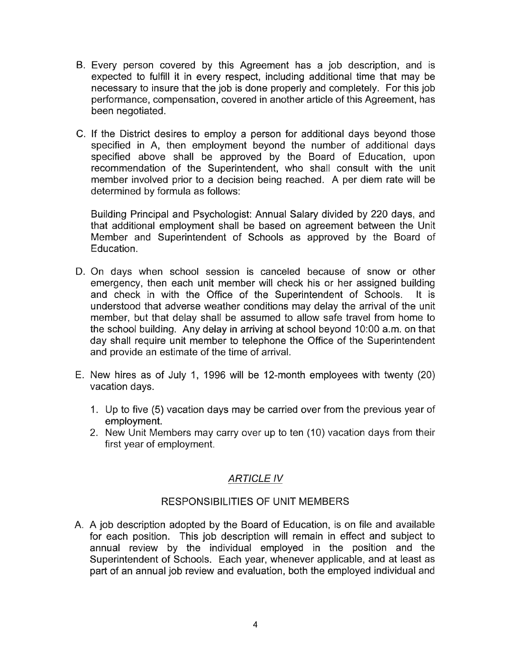- B. Every person covered by this Agreement has a job description, and is expected to fulfill it in every respect, including additional time that may be necessary to insure that the job is done properly and completely. For this job performance, compensation, covered in another article of this Agreement, has been negotiated.
- C. If the District desires to employ a person for additional days beyond those specified in A, then employment beyond the number of additional days specified above shall be approved by the Board of Education, upon recommendation of the Superintendent, who shall consult with the unit member involved prior to a decision being reached. A per diem rate will be determined by formula as follows:

Building Principal and Psychologist: Annual Salary divided by 220 days, and that additional employment shall be based on agreement between the Unit Member and Superintendent of Schools as approved by the Board of Education.

- D. On days when school session is canceled because of snow or other emergency, then each unit member will check his or her assigned building and check in with the Office of the Superintendent of Schools. It is understood that adverse weather conditions may delay the arrival of the unit member, but that delay shall be assumed to allow safe travel from home to the school building. Any delay in arriving at school beyond 10:00 a.m. on that day shall require unit member to telephone the Office of the Superintendent and provide an estimate of the time of arrival.
- E. New hires as of July 1, 1996 will be 12-month employees with twenty (20) vacation days.
	- 1. Up to five (5) vacation days may be carried over from the previous year of employment.
	- 2. New Unit Members may carry over up to ten (10) vacation days from their first year of employment.

# *ARTICLE IV*

# RESPONSIBILITIES OF UNIT MEMBERS

A. A job description adopted by the Board of Education, is on file and available for each position. This job description will remain in effect and subject to annual review by the individual employed in the position and the Superintendent of Schools. Each year, whenever applicable, and at least as part of an annual job review and evaluation, both the employed individual and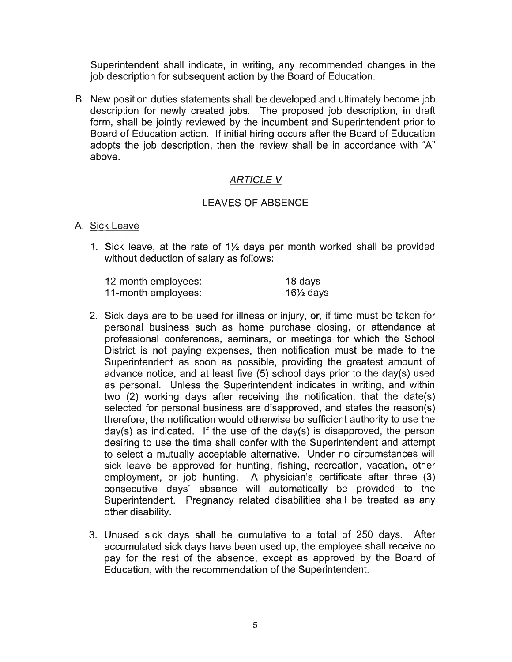Superintendent shall indicate, in writing, any recommended changes in the job description for subsequent action by the Board of Education.

B. New position duties statements shall be developed and ultimately become job description for newly created jobs. The proposed job description, in draft form, shall be jointly reviewed by the incumbent and Superintendent prior to Board of Education action. If initial hiring occurs after the Board of Education adopts the job description, then the review shall be in accordance with "A" above.

## *ARTICLE V*

## LEAVES OF ABSENCE

#### A. Sick Leave

1. Sick leave, at the rate of  $1\frac{1}{2}$  days per month worked shall be provided without deduction of salary as follows:

| 12-month employees: | 18 days              |
|---------------------|----------------------|
| 11-month employees: | $16\frac{1}{2}$ days |

- 2. Sick days are to be used for illness or injury, or, if time must be taken for personal business such as home purchase closing, or attendance at professional conferences, seminars, or meetings for which the School District is not paying expenses, then notification must be made to the Superintendent as soon as possible, providing the greatest amount of advance notice, and at least five (5) school days prior to the day(s) used as personal. Unless the Superintendent indicates in writing, and within two (2) working days after receiving the notification, that the date(s) selected for personal business are disapproved, and states the reason(s) therefore, the notification would otherwise be sufficient authority to use the day(s) as indicated. If the use of the day(s) is disapproved, the person desiring to use the time shall confer with the Superintendent and attempt to select a mutually acceptable alternative. Under no circumstances will sick leave be approved for hunting, fishing, recreation, vacation, other employment, or job hunting. A physician's certificate after three (3) consecutive days' absence will automatically be provided to the Superintendent. Pregnancy related disabilities shall be treated as any other disability.
- 3. Unused sick days shall be cumulative to a total of 250 days. After accumulated sick days have been used up, the employee shall receive no pay for the rest of the absence, except as approved by the Board of Education, with the recommendation of the Superintendent.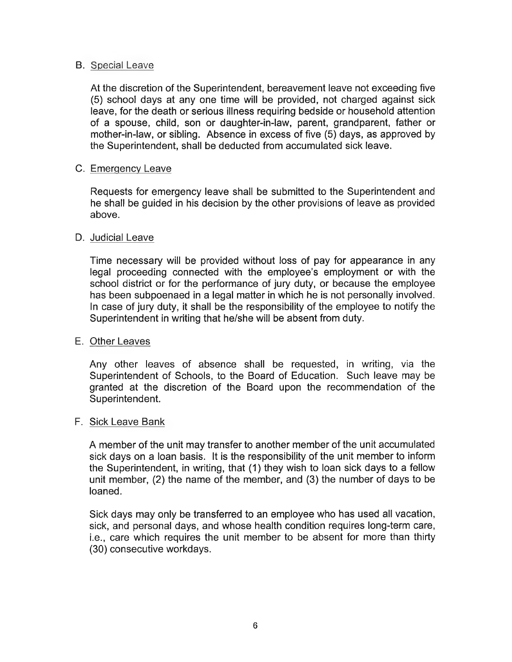#### B. Special Leave

At the discretion of the Superintendent, bereavement leave not exceeding five (5) school days at any one time will be provided, not charged against sick leave, for the death or serious illness requiring bedside or household attention of a spouse, child, son or daughter-in-law, parent, grandparent, father or mother-in-law, or sibling. Absence in excess of five (5) days, as approved by the Superintendent, shall be deducted from accumulated sick leave.

#### C. Emergency Leave

Requests for emergency leave shall be submitted to the Superintendent and he shall be guided in his decision by the other provisions of leave as provided above.

#### D. Judicial Leave

Time necessary will be provided without loss of pay for appearance in any legal proceeding connected with the employee's employment or with the school district or for the performance of jury duty, or because the employee has been subpoenaed in a legal matter in which he is not personally involved. In case of jury duty, it shall be the responsibility of the employee to notify the Superintendent in writing that he/she will be absent from duty.

#### E. Other Leaves

Any other leaves of absence shall be requested, in writing, via the Superintendent of Schools, to the Board of Education. Such leave may be granted at the discretion of the Board upon the recommendation of the Superintendent.

## F. Sick Leave Bank

A member of the unit may transfer to another member of the unit accumulated sick days on a loan basis. It is the responsibility of the unit member to inform the Superintendent, in writing, that (1) they wish to loan sick days to a fellow unit member, (2) the name of the member, and (3) the number of days to be loaned.

Sick days may only be transferred to an employee who has used all vacation, sick, and personal days, and whose health condition requires long-term care, i.e., care which requires the unit member to be absent for more than thirty (30) consecutive workdays.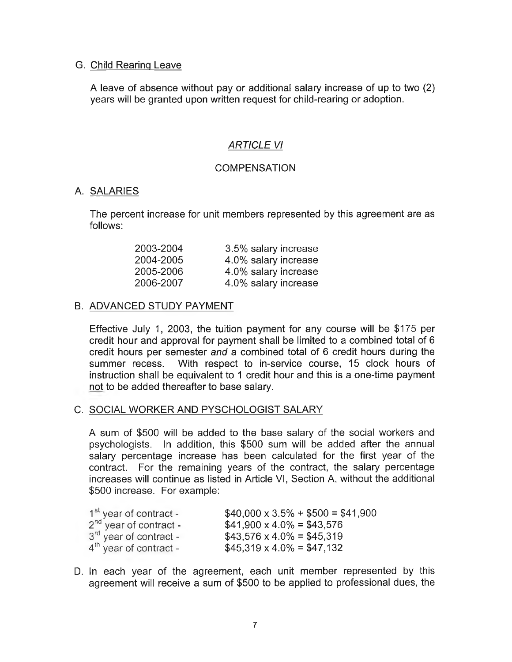#### G. Child Rearing Leave

A leave of absence without pay or additional salary increase of up to two (2) years will be granted upon written request for child-rearing or adoption.

## *ARTICLE VI*

#### **COMPENSATION**

## A. SALARIES

The percent increase for unit members represented by this agreement are as follows:

| 2003-2004 | 3.5% salary increase |
|-----------|----------------------|
| 2004-2005 | 4.0% salary increase |
| 2005-2006 | 4.0% salary increase |
| 2006-2007 | 4.0% salary increase |

## B. ADVANCED STUDY PAYMENT

Effective July 1, 2003, the tuition payment for any course will be \$175 per credit hour and approval for payment shall be limited to a combined total of 6 credit hours per semester *and* a combined total of 6 credit hours during the summer recess. With respect to in-service course, 15 clock hours of instruction shall be equivalent to 1 credit hour and this is a one-time payment not to be added thereafter to base salary.

#### C. SOCIAL WORKER AND PYSCHOLOGIST SALARY

A sum of \$500 will be added to the base salary of the social workers and psychologists. In addition, this \$500 sum will be added after the annual salary percentage increase has been calculated for the first year of the contract. For the remaining years of the contract, the salary percentage increases will continue as listed in Article VI, Section A, without the additional \$500 increase. For example:

| $1st$ year of contract -           | $$40,000 \times 3.5\% + $500 = $41,900$ |
|------------------------------------|-----------------------------------------|
| $2nd$ year of contract -           | $$41,900 \times 4.0\% = $43,576$        |
| 3 <sup>rd</sup> year of contract - | $$43,576 \times 4.0\% = $45,319$        |
| $4th$ year of contract -           | $$45,319 \times 4.0\% = $47,132$        |

D. In each year of the agreement, each unit member represented by this agreement will receive a sum of \$500 to be applied to professional dues, the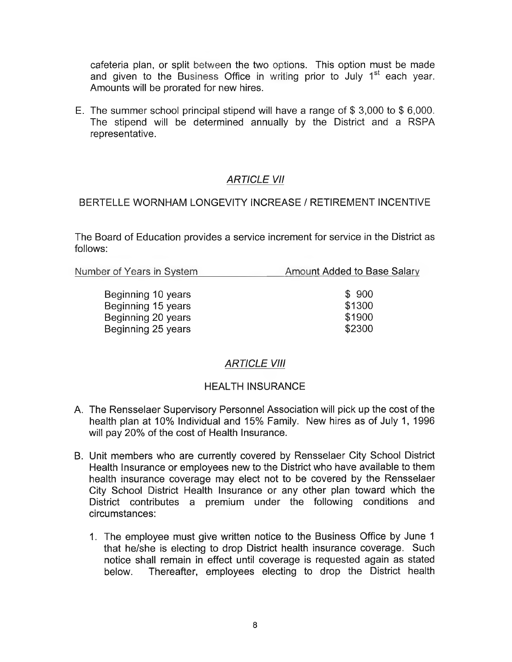cafeteria plan, or split between the two options. This option must be made and given to the Business Office in writing prior to July  $1<sup>st</sup>$  each year. Amounts will be prorated for new hires.

E. The summer school principal stipend will have a range of \$ 3,000 to \$ 6,000. The stipend will be determined annually by the District and a RSPA representative.

## *ARTICLE VII*

## BERTELLE WORNHAM LONGEVITY INCREASE / RETIREMENT INCENTIVE

The Board of Education provides a service increment for service in the District as follows:

| Number of Years in System | Amount Added to Base Salary |  |
|---------------------------|-----------------------------|--|
| Beginning 10 years        | \$900                       |  |
| Beginning 15 years        | \$1300                      |  |
| Beginning 20 years        | \$1900                      |  |
| Beginning 25 years        | \$2300                      |  |

# *ARTICLE VIII*

## HEALTH INSURANCE

- A. The Rensselaer Supervisory Personnel Association will pick up the cost of the health plan at 10% Individual and 15% Family. New hires as of July 1, 1996 will pay 20% of the cost of Health Insurance.
- B. Unit members who are currently covered by Rensselaer City School District Health Insurance or employees new to the District who have available to them health insurance coverage may elect not to be covered by the Rensselaer City School District Health Insurance or any other plan toward which the District contributes a premium under the following conditions and circumstances:
	- 1. The employee must give written notice to the Business Office by June 1 that he/she is electing to drop District health insurance coverage. Such notice shall remain in effect until coverage is requested again as stated below. Thereafter, employees electing to drop the District health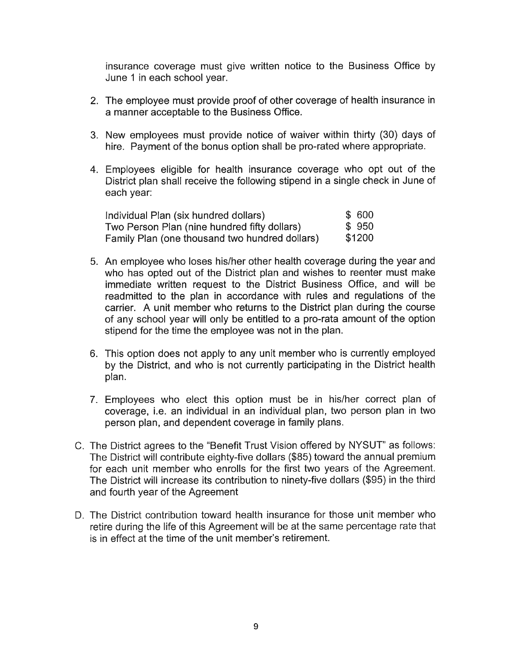insurance coverage must give written notice to the Business Office by June 1 in each school year.

- 2. The employee must provide proof of other coverage of health insurance in a manner acceptable to the Business Office.
- 3. New employees must provide notice of waiver within thirty (30) days of hire. Payment of the bonus option shall be pro-rated where appropriate.
- 4. Employees eligible for health insurance coverage who opt out of the District plan shall receive the following stipend in a single check in June of each year:

| Individual Plan (six hundred dollars)          | \$ 600 |
|------------------------------------------------|--------|
| Two Person Plan (nine hundred fifty dollars)   | \$950  |
| Family Plan (one thousand two hundred dollars) | \$1200 |

- 5. An employee who loses his/her other health coverage during the year and who has opted out of the District plan and wishes to reenter must make immediate written request to the District Business Office, and will be readmitted to the plan in accordance with rules and regulations of the carrier. A unit member who returns to the District plan during the course of any school year will only be entitled to a pro-rata amount of the option stipend for the time the employee was not in the plan.
- 6. This option does not apply to any unit member who is currently employed by the District, and who is not currently participating in the District health plan.
- 7. Employees who elect this option must be in his/her correct plan of coverage, i.e. an individual in an individual plan, two person plan in two person plan, and dependent coverage in family plans.
- C. The District agrees to the "Benefit Trust Vision offered by NYSUT" as follows: The District will contribute eighty-five dollars (\$85) toward the annual premium for each unit member who enrolls for the first two years of the Agreement. The District will increase its contribution to ninety-five dollars (\$95) in the third and fourth year of the Agreement
- D. The District contribution toward health insurance for those unit member who retire during the life of this Agreement will be at the same percentage rate that is in effect at the time of the unit member's retirement.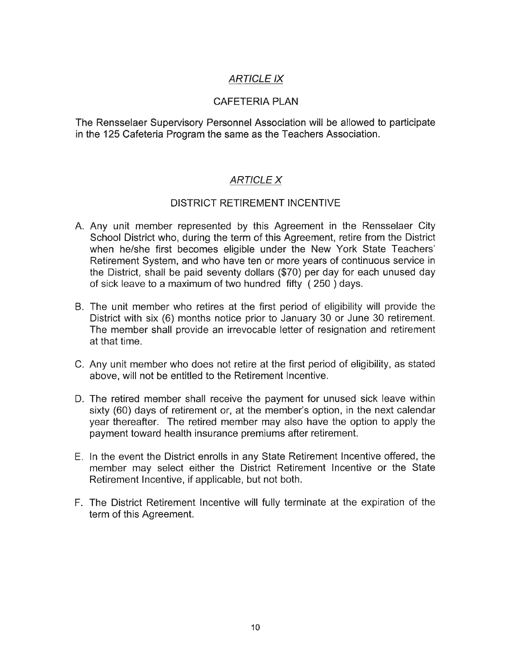# *ARTICLE IX*

## CAFETERIA PLAN

The Rensselaer Supervisory Personnel Association will be allowed to participate in the 125 Cafeteria Program the same as the Teachers Association.

# *ARTICLE X*

## DISTRICT RETIREMENT INCENTIVE

- A. Any unit member represented by this Agreement in the Rensselaer City School District who, during the term of this Agreement, retire from the District when he/she first becomes eligible under the New York State Teachers' Retirement System, and who have ten or more years of continuous service in the District, shall be paid seventy dollars (\$70) per day for each unused day of sick leave to a maximum of two hundred fifty ( 250 ) days.
- B. The unit member who retires at the first period of eligibility will provide the District with six (6) months notice prior to January 30 or June 30 retirement. The member shall provide an irrevocable letter of resignation and retirement at that time.
- C. Any unit member who does not retire at the first period of eligibility, as stated above, will not be entitled to the Retirement Incentive.
- D. The retired member shall receive the payment for unused sick leave within sixty (60) days of retirement or, at the member's option, in the next calendar year thereafter. The retired member may also have the option to apply the payment toward health insurance premiums after retirement.
- E. In the event the District enrolls in any State Retirement Incentive offered, the member may select either the District Retirement Incentive or the State Retirement Incentive, if applicable, but not both.
- F. The District Retirement Incentive will fully terminate at the expiration of the term of this Agreement.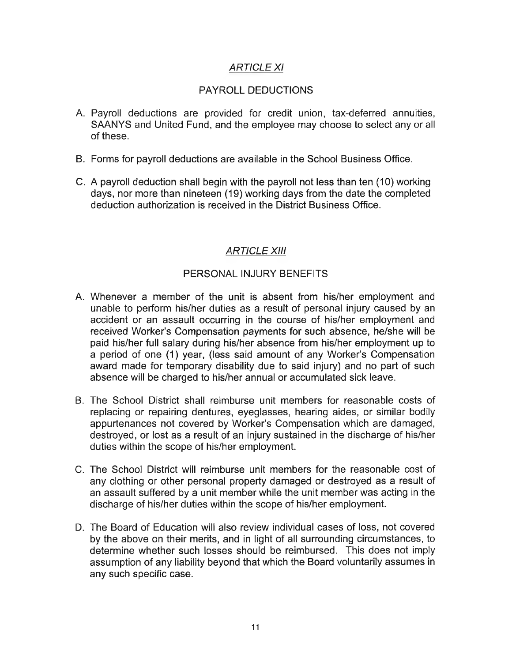## *ARTICLE XI*

#### PAYROLL DEDUCTIONS

- A. Payroll deductions are provided for credit union, tax-deferred annuities, SAANYS and United Fund, and the employee may choose to select any or all of these.
- B. Forms for payroll deductions are available in the School Business Office.
- C. A payroll deduction shall begin with the payroll not less than ten (10) working days, nor more than nineteen (19) working days from the date the completed deduction authorization is received in the District Business Office.

## *ARTICLE XIII*

#### PERSONAL INJURY BENEFITS

- A. Whenever a member of the unit is absent from his/her employment and unable to perform his/her duties as a result of personal injury caused by an accident or an assault occurring in the course of his/her employment and received Worker's Compensation payments for such absence, he/she will be paid his/her full salary during his/her absence from his/her employment up to a period of one (1) year, (less said amount of any Worker's Compensation award made for temporary disability due to said injury) and no part of such absence will be charged to his/her annual or accumulated sick leave.
- B. The School District shall reimburse unit members for reasonable costs of replacing or repairing dentures, eyeglasses, hearing aides, or similar bodily appurtenances not covered by Worker's Compensation which are damaged, destroyed, or lost as a result of an injury sustained in the discharge of his/her duties within the scope of his/her employment.
- C. The School District will reimburse unit members for the reasonable cost of any clothing or other personal property damaged or destroyed as a result of an assault suffered by a unit member while the unit member was acting in the discharge of his/her duties within the scope of his/her employment.
- D. The Board of Education will also review individual cases of loss, not covered by the above on their merits, and in light of all surrounding circumstances, to determine whether such losses should be reimbursed. This does not imply assumption of any liability beyond that which the Board voluntarily assumes in any such specific case.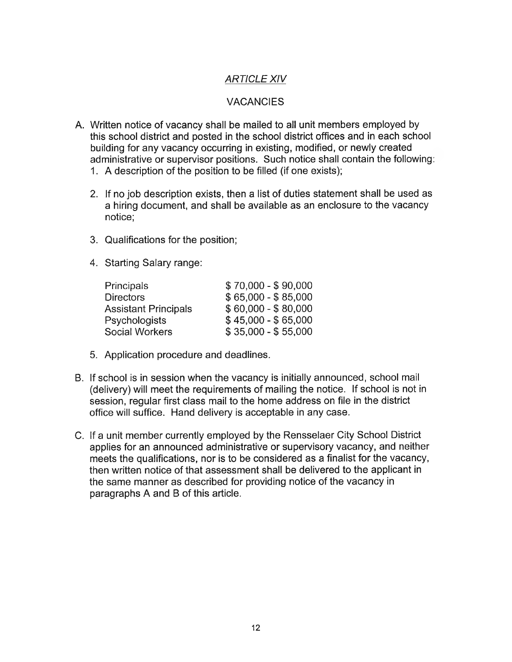# *ARTICLE XIV*

# VACANCIES

- A. Written notice of vacancy shall be mailed to all unit members employed by this school district and posted in the school district offices and in each school building for any vacancy occurring in existing, modified, or newly created administrative or supervisor positions. Such notice shall contain the following:
	- 1. A description of the position to be filled (if one exists);
	- 2. If no job description exists, then a list of duties statement shall be used as a hiring document, and shall be available as an enclosure to the vacancy notice;
	- 3. Qualifications for the position;
	- 4. Starting Salary range:

| <b>Principals</b>           | $$70,000 - $90,000$ |
|-----------------------------|---------------------|
| <b>Directors</b>            | $$65,000 - $85,000$ |
| <b>Assistant Principals</b> | $$60,000 - $80,000$ |
| <b>Psychologists</b>        | $$45,000 - $65,000$ |
| <b>Social Workers</b>       | $$35,000 - $55,000$ |

- 5. Application procedure and deadlines.
- B. If school is in session when the vacancy is initially announced, school mail (delivery) will meet the requirements of mailing the notice. If school is not in session, regular first class mail to the home address on file in the district office will suffice. Hand delivery is acceptable in any case.
- C. If a unit member currently employed by the Rensselaer City School District applies for an announced administrative or supervisory vacancy, and neither meets the qualifications, nor is to be considered as a finalist for the vacancy, then written notice of that assessment shall be delivered to the applicant in the same manner as described for providing notice of the vacancy in paragraphs A and B of this article.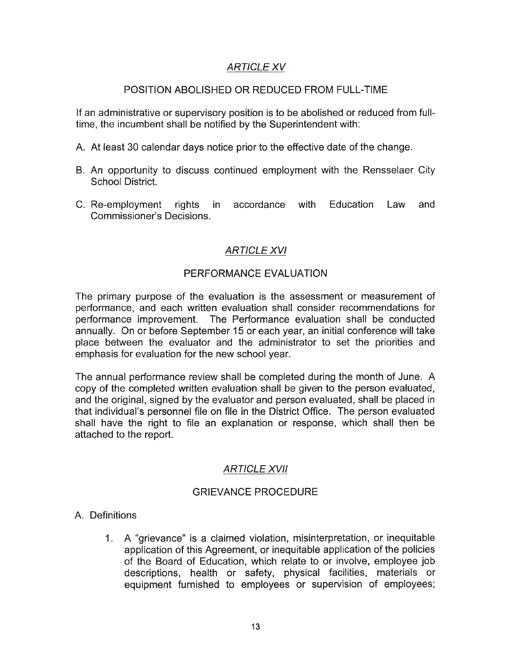# *ARTICLE XV*

#### POSITION ABOLISHED OR REDUCED FROM FULL-TIME

If an administrative or supervisory position is to be abolished or reduced from fulltime, the incumbent shall be notified by the Superintendent with:

- A. At least 30 calendar days notice prior to the effective date of the change.
- B. An opportunity to discuss continued employment with the Rensselaer City School District.
- C. Re-employment rights in accordance with Education Law and Commissioner's Decisions.

# *ARTICLE XVI*

## PERFORMANCE EVALUATION

The primary purpose of the evaluation is the assessment or measurement of performance, and each written evaluation shall consider recommendations for performance improvement. The Performance evaluation shall be conducted annually. On or before September 15 or each year, an initial conference will take place between the evaluator and the administrator to set the priorities and emphasis for evaluation for the new school year.

The annual performance review shall be completed during the month of June. A copy of the completed written evaluation shall be given to the person evaluated, and the original, signed by the evaluator and person evaluated, shall be placed in that individual's personnel file on file in the District Office. The person evaluated shall have the right to file an explanation or response, which shall then be attached to the report.

## *ARTICLE XVII*

## GRIEVANCE PROCEDURE

## A. Definitions

1. A "grievance" is a claimed violation, misinterpretation, or inequitable application of this Agreement, or inequitable application of the policies of the Board of Education, which relate to or involve, employee job descriptions, health or safety, physical facilities, materials or equipment furnished to employees or supervision of employees;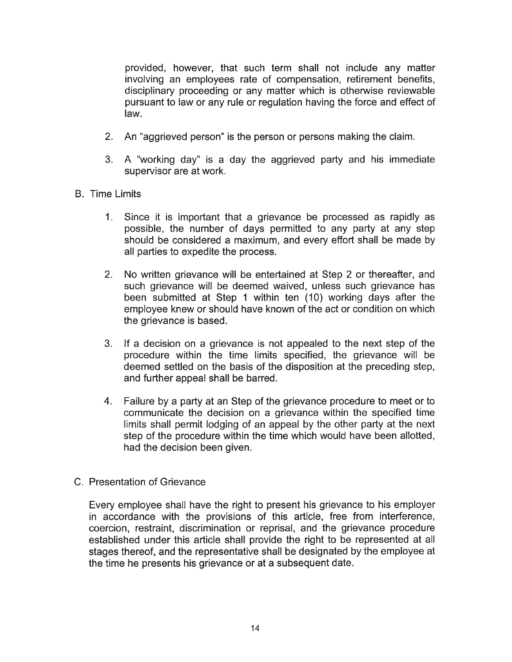provided, however, that such term shall not include any matter involving an employees rate of compensation, retirement benefits, disciplinary proceeding or any matter which is otherwise reviewable pursuant to law or any rule or regulation having the force and effect of law.

- 2. An "aggrieved person" is the person or persons making the claim.
- 3. A "working day" is a day the aggrieved party and his immediate supervisor are at work.
- B. Time Limits
	- 1. Since it is important that a grievance be processed as rapidly as possible, the number of days permitted to any party at any step should be considered a maximum, and every effort shall be made by all parties to expedite the process.
	- 2. No written grievance will be entertained at Step 2 or thereafter, and such grievance will be deemed waived, unless such grievance has been submitted at Step 1 within ten (10) working days after the employee knew or should have known of the act or condition on which the grievance is based.
	- 3. If a decision on a grievance is not appealed to the next step of the procedure within the time limits specified, the grievance will be deemed settled on the basis of the disposition at the preceding step, and further appeal shall be barred.
	- 4. Failure by a party at an Step of the grievance procedure to meet or to communicate the decision on a grievance within the specified time limits shall permit lodging of an appeal by the other party at the next step of the procedure within the time which would have been allotted, had the decision been given.
- C. Presentation of Grievance

Every employee shall have the right to present his grievance to his employer in accordance with the provisions of this article, free from interference, coercion, restraint, discrimination or reprisal, and the grievance procedure established under this article shall provide the right to be represented at all stages thereof, and the representative shall be designated by the employee at the time he presents his grievance or at a subsequent date.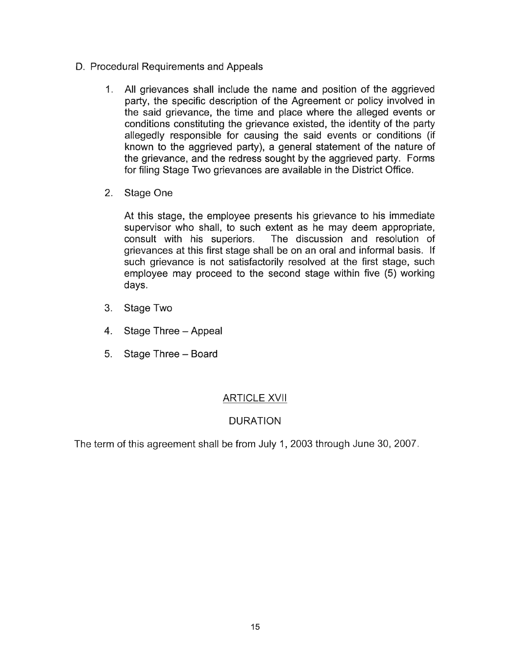- D. Procedural Requirements and Appeals
	- 1. All grievances shall include the name and position of the aggrieved party, the specific description of the Agreement or policy involved in the said grievance, the time and place where the alleged events or conditions constituting the grievance existed, the identity of the party allegedly responsible for causing the said events or conditions (if known to the aggrieved party), a general statement of the nature of the grievance, and the redress sought by the aggrieved party. Forms for filing Stage Two grievances are available in the District Office.
	- 2. Stage One

At this stage, the employee presents his grievance to his immediate supervisor who shall, to such extent as he may deem appropriate, consult with his superiors. The discussion and resolution of grievances at this first stage shall be on an oral and informal basis. If such grievance is not satisfactorily resolved at the first stage, such employee may proceed to the second stage within five (5) working days.

- 3. Stage Two
- 4. Stage Three Appeal
- 5. Stage Three Board

# ARTICLE XVII

# DURATION

The term of this agreement shall be from July 1,2003 through June 30, 2007.